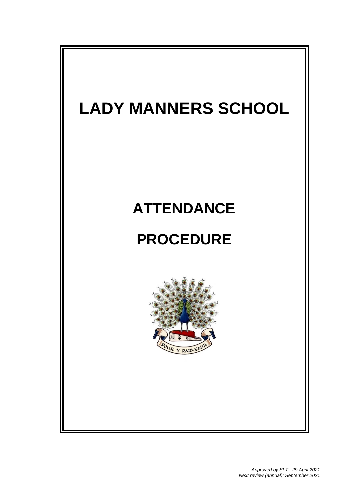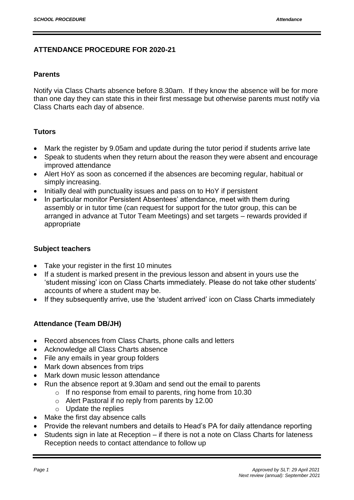### **ATTENDANCE PROCEDURE FOR 2020-21**

#### **Parents**

Notify via Class Charts absence before 8.30am. If they know the absence will be for more than one day they can state this in their first message but otherwise parents must notify via Class Charts each day of absence.

### **Tutors**

- Mark the register by 9.05am and update during the tutor period if students arrive late
- Speak to students when they return about the reason they were absent and encourage improved attendance
- Alert HoY as soon as concerned if the absences are becoming regular, habitual or simply increasing.
- Initially deal with punctuality issues and pass on to HoY if persistent
- In particular monitor Persistent Absentees' attendance, meet with them during assembly or in tutor time (can request for support for the tutor group, this can be arranged in advance at Tutor Team Meetings) and set targets – rewards provided if appropriate

#### **Subject teachers**

- Take your register in the first 10 minutes
- If a student is marked present in the previous lesson and absent in yours use the 'student missing' icon on Class Charts immediately. Please do not take other students' accounts of where a student may be.
- If they subsequently arrive, use the 'student arrived' icon on Class Charts immediately

#### **Attendance (Team DB/JH)**

- Record absences from Class Charts, phone calls and letters
- Acknowledge all Class Charts absence
- File any emails in year group folders
- Mark down absences from trips
- Mark down music lesson attendance
- Run the absence report at 9.30am and send out the email to parents
	- o If no response from email to parents, ring home from 10.30
		- o Alert Pastoral if no reply from parents by 12.00
		- o Update the replies
- Make the first day absence calls
- Provide the relevant numbers and details to Head's PA for daily attendance reporting
- Students sign in late at Reception if there is not a note on Class Charts for lateness Reception needs to contact attendance to follow up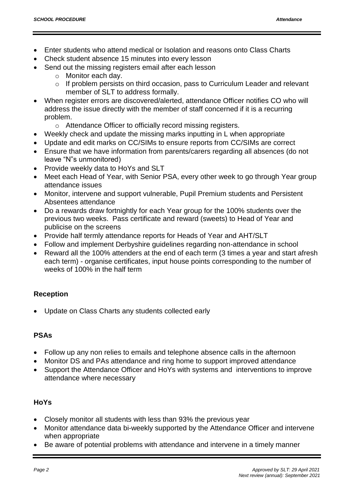- Enter students who attend medical or Isolation and reasons onto Class Charts
- Check student absence 15 minutes into every lesson
- Send out the missing registers email after each lesson
	- o Monitor each day.
	- o If problem persists on third occasion, pass to Curriculum Leader and relevant member of SLT to address formally.
- When register errors are discovered/alerted, attendance Officer notifies CO who will address the issue directly with the member of staff concerned if it is a recurring problem.
	- o Attendance Officer to officially record missing registers.
- Weekly check and update the missing marks inputting in L when appropriate
- Update and edit marks on CC/SIMs to ensure reports from CC/SIMs are correct
- Ensure that we have information from parents/carers regarding all absences (do not leave "N"s unmonitored)
- Provide weekly data to HoYs and SLT
- Meet each Head of Year, with Senior PSA, every other week to go through Year group attendance issues
- Monitor, intervene and support vulnerable, Pupil Premium students and Persistent Absentees attendance
- Do a rewards draw fortnightly for each Year group for the 100% students over the previous two weeks. Pass certificate and reward (sweets) to Head of Year and publicise on the screens
- Provide half termly attendance reports for Heads of Year and AHT/SLT
- Follow and implement Derbyshire guidelines regarding non-attendance in school
- Reward all the 100% attenders at the end of each term (3 times a year and start afresh each term) - organise certificates, input house points corresponding to the number of weeks of 100% in the half term

## **Reception**

Update on Class Charts any students collected early

## **PSAs**

- Follow up any non relies to emails and telephone absence calls in the afternoon
- Monitor DS and PAs attendance and ring home to support improved attendance
- Support the Attendance Officer and HoYs with systems and interventions to improve attendance where necessary

## **HoYs**

- Closely monitor all students with less than 93% the previous year
- Monitor attendance data bi-weekly supported by the Attendance Officer and intervene when appropriate
- Be aware of potential problems with attendance and intervene in a timely manner